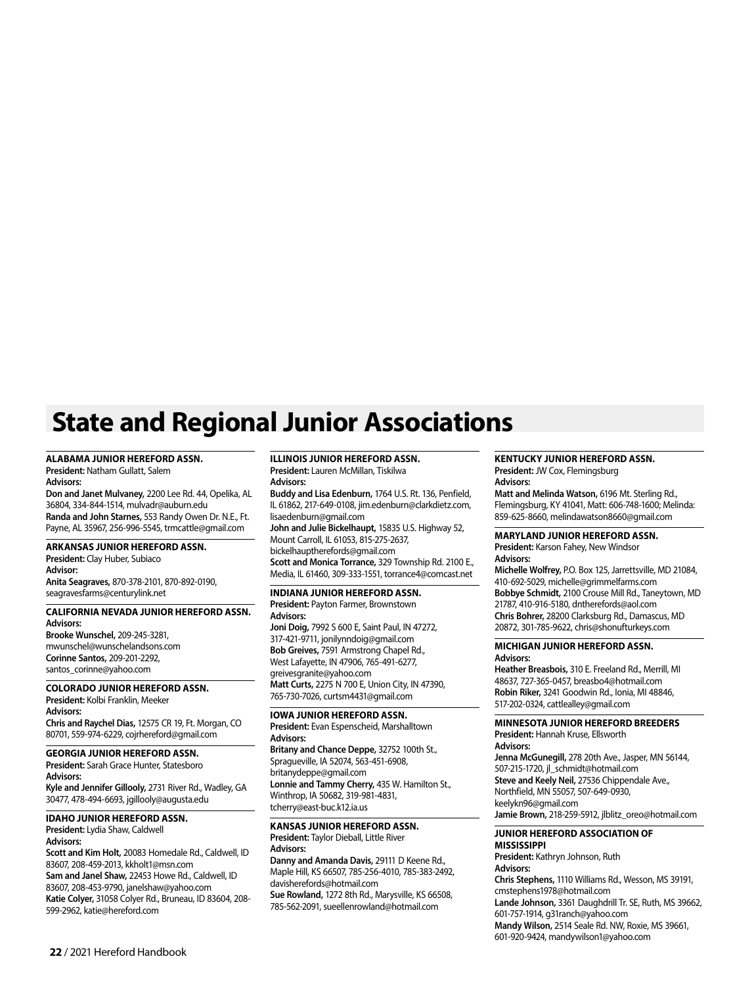# **State and Regional Junior Associations**

## **ALABAMA JUNIOR HEREFORD ASSN.**

**President:** Natham Gullatt, Salem **Advisors:** 

**Don and Janet Mulvaney,** 2200 Lee Rd. 44, Opelika, AL 36804, 334-844-1514, mulvadr@auburn.edu **Randa and John Starnes,** 553 Randy Owen Dr. N.E., Ft. Payne, AL 35967, 256-996-5545, trmcattle@gmail.com

## **ARKANSAS JUNIOR HEREFORD ASSN.**

**President:** Clay Huber, Subiaco **Advisor: Anita Seagraves,** 870-378-2101, 870-892-0190, seagravesfarms@centurylink.net

## **CALIFORNIA NEVADA JUNIOR HEREFORD ASSN. Advisors:**

**Brooke Wunschel,** 209-245-3281, mwunschel@wunschelandsons.com **Corinne Santos,** 209-201-2292, santos\_corinne@yahoo.com

## **COLORADO JUNIOR HEREFORD ASSN.**

**President:** Kolbi Franklin, Meeker **Advisors:**

**Chris and Raychel Dias,** 12575 CR 19, Ft. Morgan, CO 80701, 559-974-6229, cojrhereford@gmail.com

## **GEORGIA JUNIOR HEREFORD ASSN.**

**President:** Sarah Grace Hunter, Statesboro **Advisors:** 

**Kyle and Jennifer Gillooly,** 2731 River Rd., Wadley, GA 30477, 478-494-6693, jgillooly@augusta.edu

## **IDAHO JUNIOR HEREFORD ASSN.**

**President:** Lydia Shaw, Caldwell **Advisors:**

**Scott and Kim Holt,** 20083 Homedale Rd., Caldwell, ID 83607, 208-459-2013, kkholt1@msn.com **Sam and Janel Shaw,** 22453 Howe Rd., Caldwell, ID 83607, 208-453-9790, janelshaw@yahoo.com **Katie Colyer,** 31058 Colyer Rd., Bruneau, ID 83604, 208- 599-2962, katie@hereford.com

#### **ILLINOIS JUNIOR HEREFORD ASSN.**

**President:** Lauren McMillan, Tiskilwa **Advisors:** 

**Buddy and Lisa Edenburn,** 1764 U.S. Rt. 136, Penfield, IL 61862, 217-649-0108, jim.edenburn@clarkdietz.com, lisaedenburn@gmail.com

**John and Julie Bickelhaupt,** 15835 U.S. Highway 52, Mount Carroll, IL 61053, 815-275-2637, bickelhauptherefords@gmail.com

**Scott and Monica Torrance,** 329 Township Rd. 2100 E., Media, IL 61460, 309-333-1551, torrance4@comcast.net

# **INDIANA JUNIOR HEREFORD ASSN.**

**President:** Payton Farmer, Brownstown **Advisors:**

**Joni Doig,** 7992 S 600 E, Saint Paul, IN 47272, 317-421-9711, jonilynndoig@gmail.com **Bob Greives,** 7591 Armstrong Chapel Rd., West Lafayette, IN 47906, 765-491-6277, greivesgranite@yahoo.com **Matt Curts,** 2275 N 700 E, Union City, IN 47390, 765-730-7026, curtsm4431@gmail.com

## **IOWA JUNIOR HEREFORD ASSN.**

**President:** Evan Espenscheid, Marshalltown **Advisors:**

**Britany and Chance Deppe,** 32752 100th St., Spragueville, IA 52074, 563-451-6908, britanydeppe@gmail.com **Lonnie and Tammy Cherry,** 435 W. Hamilton St., Winthrop, IA 50682, 319-981-4831, tcherry@east-buc.k12.ia.us

#### **KANSAS JUNIOR HEREFORD ASSN. President:** Taylor Dieball, Little River **Advisors:**

**Danny and Amanda Davis,** 29111 D Keene Rd., Maple Hill, KS 66507, 785-256-4010, 785-383-2492, davisherefords@hotmail.com **Sue Rowland,** 1272 8th Rd., Marysville, KS 66508, 785-562-2091, sueellenrowland@hotmail.com

## **KENTUCKY JUNIOR HEREFORD ASSN. President:** JW Cox, Flemingsburg

**Advisors: Matt and Melinda Watson,** 6196 Mt. Sterling Rd., Flemingsburg, KY 41041, Matt: 606-748-1600; Melinda: 859-625-8660, melindawatson8660@gmail.com

## **MARYLAND JUNIOR HEREFORD ASSN.**

**President:** Karson Fahey, New Windsor **Advisors:** 

**Michelle Wolfrey,** P.O. Box 125, Jarrettsville, MD 21084, 410-692-5029, michelle@grimmelfarms.com **Bobbye Schmidt,** 2100 Crouse Mill Rd., Taneytown, MD 21787, 410-916-5180, dntherefords@aol.com **Chris Bohrer,** 28200 Clarksburg Rd., Damascus, MD 20872, 301-785-9622, chris@shonufturkeys.com

## **MICHIGAN JUNIOR HEREFORD ASSN. Advisors:**

**Heather Breasbois,** 310 E. Freeland Rd., Merrill, MI 48637, 727-365-0457, breasbo4@hotmail.com **Robin Riker,** 3241 Goodwin Rd., Ionia, MI 48846, 517-202-0324, cattlealley@gmail.com

## **MINNESOTA JUNIOR HEREFORD BREEDERS**

**President:** Hannah Kruse, Ellsworth **Advisors: Jenna McGunegill,** 278 20th Ave., Jasper, MN 56144, 507-215-1720, jl\_schmidt@hotmail.com **Steve and Keely Neil,** 27536 Chippendale Ave., Northfield, MN 55057, 507-649-0930, keelykn96@gmail.com

**Jamie Brown,** 218-259-5912, jlblitz\_oreo@hotmail.com

## **JUNIOR HEREFORD ASSOCIATION OF MISSISSIPPI**

**President:** Kathryn Johnson, Ruth **Advisors: Chris Stephens,** 1110 Williams Rd., Wesson, MS 39191, cmstephens1978@hotmail.com **Lande Johnson,** 3361 Daughdrill Tr. SE, Ruth, MS 39662, 601-757-1914, g31ranch@yahoo.com **Mandy Wilson,** 2514 Seale Rd. NW, Roxie, MS 39661, 601-920-9424, mandywilson1@yahoo.com